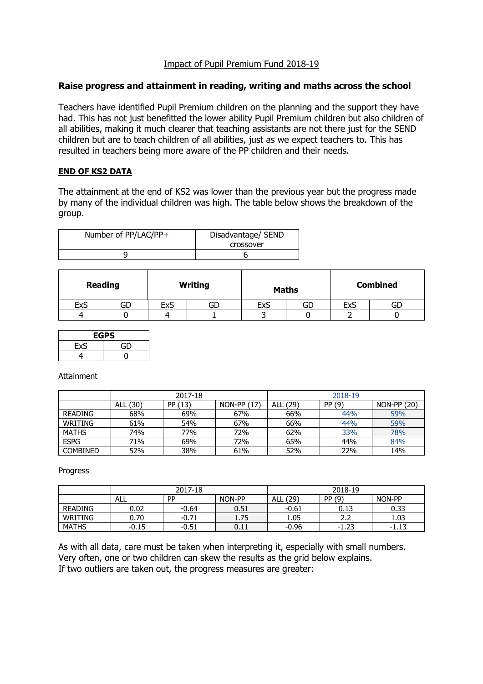# Impact of Pupil Premium Fund 2018-19

### **Raise progress and attainment in reading, writing and maths across the school**

Teachers have identified Pupil Premium children on the planning and the support they have had. This has not just benefitted the lower ability Pupil Premium children but also children of all abilities, making it much clearer that teaching assistants are not there just for the SEND children but are to teach children of all abilities, just as we expect teachers to. This has resulted in teachers being more aware of the PP children and their needs.

### **END OF KS2 DATA**

The attainment at the end of KS2 was lower than the previous year but the progress made by many of the individual children was high. The table below shows the breakdown of the group.

| Number of PP/LAC/PP+ | Disadvantage/ SEND<br>crossover |
|----------------------|---------------------------------|
|                      |                                 |

| <b>Reading</b> |    | <b>Writing</b> |    | <b>Maths</b> |    | <b>Combined</b> |    |
|----------------|----|----------------|----|--------------|----|-----------------|----|
| <b>ExS</b>     | GD | ExS            | GD | ExS          | GD | <b>ExS</b>      | GD |
| 4              |    |                |    |              |    |                 |    |

| <b>EGPS</b> |    |  |  |  |
|-------------|----|--|--|--|
| ExS         | GD |  |  |  |
| 4           |    |  |  |  |

Attainment

|                 | 2017-18     |         |              |                    | 2018-19 |             |  |
|-----------------|-------------|---------|--------------|--------------------|---------|-------------|--|
|                 | (30)<br>ALL | PP (13) | $NON-PP(17)$ | (29)<br><b>ALL</b> | PP (9)  | NON-PP (20) |  |
| <b>READING</b>  | 68%         | 69%     | 67%          | 66%                | 44%     | 59%         |  |
| WRITING         | 61%         | 54%     | 67%          | 66%                | 44%     | 59%         |  |
| <b>MATHS</b>    | 74%         | 77%     | 72%          | 62%                | 33%     | 78%         |  |
| <b>ESPG</b>     | 71%         | 69%     | 72%          | 65%                | 44%     | 84%         |  |
| <b>COMBINED</b> | 52%         | 38%     | 61%          | 52%                | 22%     | 14%         |  |

Progress

|                | 2017-18 |           |        | 2018-19     |         |        |
|----------------|---------|-----------|--------|-------------|---------|--------|
|                | ALL     | <b>PP</b> | NON-PP | (29)<br>ALL | PP (9)  | NON-PP |
| <b>READING</b> | 0.02    | $-0.64$   | 0.51   | $-0.61$     | 0.13    | 0.33   |
| WRITING        | 0.70    | $-0.71$   | 1.75   | 1.05        | 2.2     | 1.03   |
| <b>MATHS</b>   | $-0.15$ | $-0.51$   | 0.11   | $-0.96$     | $-1.23$ | -1.13  |

As with all data, care must be taken when interpreting it, especially with small numbers. Very often, one or two children can skew the results as the grid below explains. If two outliers are taken out, the progress measures are greater: